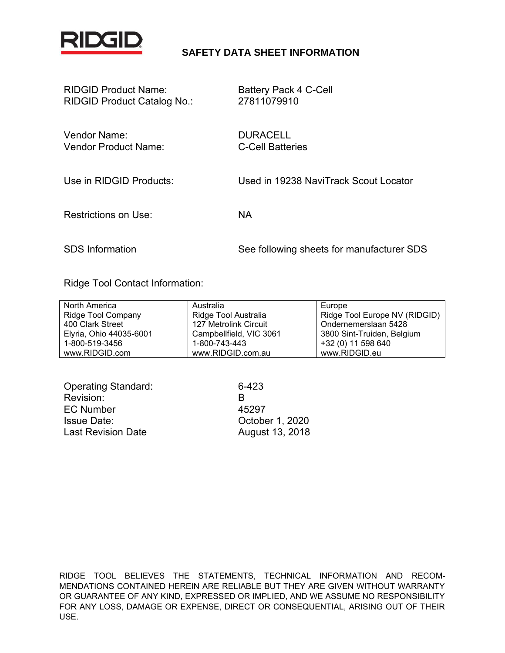

#### **SAFETY DATA SHEET INFORMATION**

| <b>RIDGID Product Name:</b>        | <b>Battery Pack 4 C-Cell</b> |
|------------------------------------|------------------------------|
| <b>RIDGID Product Catalog No.:</b> | 27811079910                  |
|                                    |                              |

Vendor Name: DURACELL Vendor Product Name: C-Cell Batteries

Use in RIDGID Products: Used in 19238 NaviTrack Scout Locator

Restrictions on Use: NA

SDS Information See following sheets for manufacturer SDS

Ridge Tool Contact Information:

| North America           | Australia               | Europe                        |
|-------------------------|-------------------------|-------------------------------|
| Ridge Tool Company      | Ridge Tool Australia    | Ridge Tool Europe NV (RIDGID) |
| 400 Clark Street        | 127 Metrolink Circuit   | Ondernemerslaan 5428          |
| Elyria, Ohio 44035-6001 | Campbellfield, VIC 3061 | 3800 Sint-Truiden, Belgium    |
| 1-800-519-3456          | 1-800-743-443           | +32 (0) 11 598 640            |
| www.RIDGID.com          | www.RIDGID.com.au       | www.RIDGID.eu                 |

| <b>Operating Standard:</b> | 6-423           |
|----------------------------|-----------------|
| Revision:                  | к               |
| EC Number                  | 45297           |
| <b>Issue Date:</b>         | October 1, 2020 |
| <b>Last Revision Date</b>  | August 13, 2018 |

RIDGE TOOL BELIEVES THE STATEMENTS, TECHNICAL INFORMATION AND RECOM-MENDATIONS CONTAINED HEREIN ARE RELIABLE BUT THEY ARE GIVEN WITHOUT WARRANTY OR GUARANTEE OF ANY KIND, EXPRESSED OR IMPLIED, AND WE ASSUME NO RESPONSIBILITY FOR ANY LOSS, DAMAGE OR EXPENSE, DIRECT OR CONSEQUENTIAL, ARISING OUT OF THEIR USE.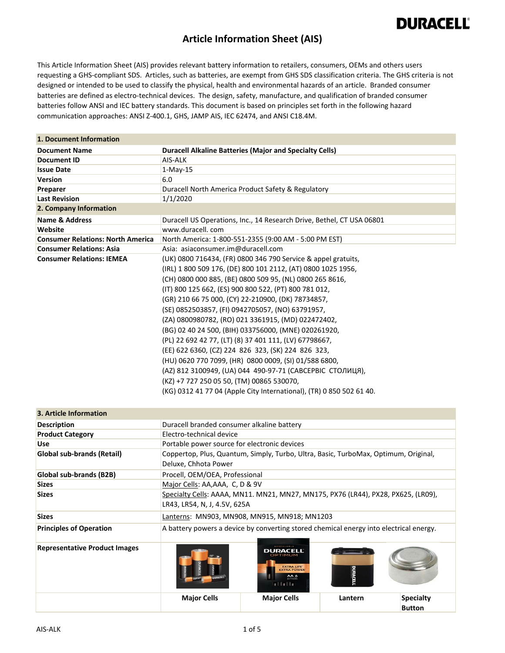#### **Article Information Sheet (AIS)**

This Article Information Sheet (AIS) provides relevant battery information to retailers, consumers, OEMs and others users requesting a GHS‐compliant SDS. Articles, such as batteries, are exempt from GHS SDS classification criteria. The GHS criteria is not designed or intended to be used to classify the physical, health and environmental hazards of an article. Branded consumer batteries are defined as electro‐technical devices. The design, safety, manufacture, and qualification of branded consumer batteries follow ANSI and IEC battery standards. This document is based on principles set forth in the following hazard communication approaches: ANSI Z‐400.1, GHS, JAMP AIS, IEC 62474, and ANSI C18.4M.

| 1. Document Information                  |                                                                                                                                     |                                                                                        |               |                                   |
|------------------------------------------|-------------------------------------------------------------------------------------------------------------------------------------|----------------------------------------------------------------------------------------|---------------|-----------------------------------|
| <b>Document Name</b>                     |                                                                                                                                     | <b>Duracell Alkaline Batteries (Major and Specialty Cells)</b>                         |               |                                   |
| <b>Document ID</b>                       | AIS-ALK                                                                                                                             |                                                                                        |               |                                   |
| <b>Issue Date</b>                        | $1-May-15$                                                                                                                          |                                                                                        |               |                                   |
| <b>Version</b>                           | 6.0                                                                                                                                 |                                                                                        |               |                                   |
| Preparer                                 |                                                                                                                                     | Duracell North America Product Safety & Regulatory                                     |               |                                   |
| <b>Last Revision</b>                     | 1/1/2020                                                                                                                            |                                                                                        |               |                                   |
| 2. Company Information                   |                                                                                                                                     |                                                                                        |               |                                   |
| <b>Name &amp; Address</b>                |                                                                                                                                     | Duracell US Operations, Inc., 14 Research Drive, Bethel, CT USA 06801                  |               |                                   |
| Website                                  | www.duracell.com                                                                                                                    |                                                                                        |               |                                   |
| <b>Consumer Relations: North America</b> |                                                                                                                                     | North America: 1-800-551-2355 (9:00 AM - 5:00 PM EST)                                  |               |                                   |
| <b>Consumer Relations: Asia</b>          | Asia: asiaconsumer.im@duracell.com                                                                                                  |                                                                                        |               |                                   |
| <b>Consumer Relations: IEMEA</b>         |                                                                                                                                     | (UK) 0800 716434, (FR) 0800 346 790 Service & appel gratuits,                          |               |                                   |
|                                          | (IRL) 1 800 509 176, (DE) 800 101 2112, (AT) 0800 1025 1956,                                                                        |                                                                                        |               |                                   |
|                                          |                                                                                                                                     | (CH) 0800 000 885, (BE) 0800 509 95, (NL) 0800 265 8616,                               |               |                                   |
|                                          |                                                                                                                                     | (IT) 800 125 662, (ES) 900 800 522, (PT) 800 781 012,                                  |               |                                   |
|                                          |                                                                                                                                     | (GR) 210 66 75 000, (CY) 22-210900, (DK) 78734857,                                     |               |                                   |
|                                          |                                                                                                                                     | (SE) 0852503857, (FI) 0942705057, (NO) 63791957,                                       |               |                                   |
|                                          | (ZA) 0800980782, (RO) 021 3361915, (MD) 022472402,                                                                                  |                                                                                        |               |                                   |
|                                          |                                                                                                                                     | (BG) 02 40 24 500, (BIH) 033756000, (MNE) 020261920,                                   |               |                                   |
|                                          | (PL) 22 692 42 77, (LT) (8) 37 401 111, (LV) 67798667,                                                                              |                                                                                        |               |                                   |
|                                          | (EE) 622 6360, (CZ) 224 826 323, (SK) 224 826 323,                                                                                  |                                                                                        |               |                                   |
|                                          | (HU) 0620 770 7099, (HR) 0800 0009, (SI) 01/588 6800,                                                                               |                                                                                        |               |                                   |
|                                          |                                                                                                                                     |                                                                                        |               |                                   |
|                                          | (AZ) 812 3100949, (UA) 044 490-97-71 (САВСЕРВІС СТОЛИЦЯ),                                                                           |                                                                                        |               |                                   |
|                                          | (KZ) +7 727 250 05 50, (TM) 00865 530070,<br>(KG) 0312 41 77 04 (Apple City International), (TR) 0 850 502 61 40.                   |                                                                                        |               |                                   |
|                                          |                                                                                                                                     |                                                                                        |               |                                   |
| 3. Article Information                   |                                                                                                                                     |                                                                                        |               |                                   |
|                                          |                                                                                                                                     |                                                                                        |               |                                   |
| <b>Description</b>                       | Duracell branded consumer alkaline battery<br>Electro-technical device                                                              |                                                                                        |               |                                   |
| <b>Product Category</b><br><b>Use</b>    |                                                                                                                                     |                                                                                        |               |                                   |
| <b>Global sub-brands (Retail)</b>        | Portable power source for electronic devices<br>Coppertop, Plus, Quantum, Simply, Turbo, Ultra, Basic, TurboMax, Optimum, Original, |                                                                                        |               |                                   |
|                                          |                                                                                                                                     |                                                                                        |               |                                   |
|                                          | Deluxe, Chhota Power                                                                                                                |                                                                                        |               |                                   |
| Global sub-brands (B2B)                  | Procell, OEM/OEA, Professional                                                                                                      |                                                                                        |               |                                   |
| <b>Sizes</b>                             | Major Cells: AA, AAA, C, D & 9V<br>Specialty Cells: AAAA, MN11. MN21, MN27, MN175, PX76 (LR44), PX28, PX625, (LR09),                |                                                                                        |               |                                   |
| <b>Sizes</b>                             |                                                                                                                                     |                                                                                        |               |                                   |
|                                          | LR43, LR54, N, J, 4.5V, 625A                                                                                                        |                                                                                        |               |                                   |
| Sizes                                    | Lanterns: MN903, MN908, MN915, MN918; MN1203                                                                                        |                                                                                        |               |                                   |
| <b>Principles of Operation</b>           |                                                                                                                                     | A battery powers a device by converting stored chemical energy into electrical energy. |               |                                   |
| <b>Representative Product Images</b>     |                                                                                                                                     | <b>DURACELL</b><br>OPTIMUM<br><b>EXTRA LIFE</b><br>AA 6<br>a Hallia                    | <b>URACEI</b> |                                   |
|                                          | <b>Major Cells</b>                                                                                                                  | <b>Major Cells</b>                                                                     | Lantern       | <b>Specialty</b><br><b>Button</b> |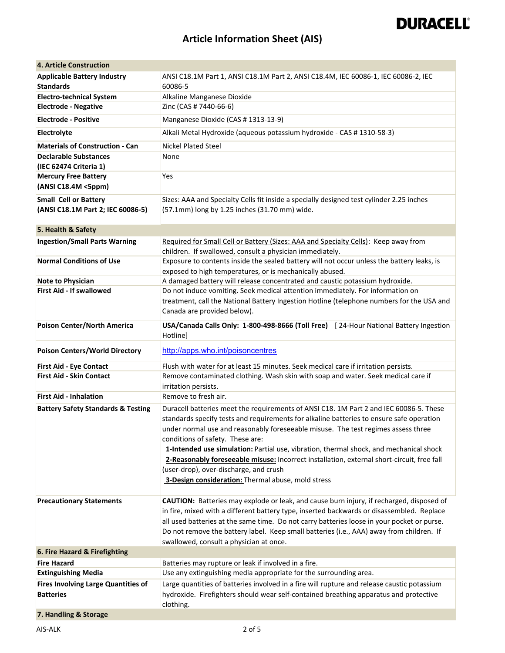### **Article Information Sheet (AIS)**

| <b>4. Article Construction</b>                        |                                                                                                                                                                                                                                                                                                                                                                                                                                                                                                                                                                                                     |
|-------------------------------------------------------|-----------------------------------------------------------------------------------------------------------------------------------------------------------------------------------------------------------------------------------------------------------------------------------------------------------------------------------------------------------------------------------------------------------------------------------------------------------------------------------------------------------------------------------------------------------------------------------------------------|
| <b>Applicable Battery Industry</b>                    | ANSI C18.1M Part 1, ANSI C18.1M Part 2, ANSI C18.4M, IEC 60086-1, IEC 60086-2, IEC                                                                                                                                                                                                                                                                                                                                                                                                                                                                                                                  |
| <b>Standards</b>                                      | 60086-5                                                                                                                                                                                                                                                                                                                                                                                                                                                                                                                                                                                             |
| <b>Electro-technical System</b>                       | Alkaline Manganese Dioxide                                                                                                                                                                                                                                                                                                                                                                                                                                                                                                                                                                          |
| <b>Electrode - Negative</b>                           | Zinc (CAS # 7440-66-6)                                                                                                                                                                                                                                                                                                                                                                                                                                                                                                                                                                              |
| <b>Electrode - Positive</b>                           | Manganese Dioxide (CAS # 1313-13-9)                                                                                                                                                                                                                                                                                                                                                                                                                                                                                                                                                                 |
| Electrolyte                                           | Alkali Metal Hydroxide (aqueous potassium hydroxide - CAS # 1310-58-3)                                                                                                                                                                                                                                                                                                                                                                                                                                                                                                                              |
| <b>Materials of Construction - Can</b>                | <b>Nickel Plated Steel</b>                                                                                                                                                                                                                                                                                                                                                                                                                                                                                                                                                                          |
| <b>Declarable Substances</b>                          | None                                                                                                                                                                                                                                                                                                                                                                                                                                                                                                                                                                                                |
| (IEC 62474 Criteria 1)<br><b>Mercury Free Battery</b> | Yes                                                                                                                                                                                                                                                                                                                                                                                                                                                                                                                                                                                                 |
| (ANSI C18.4M <5ppm)                                   |                                                                                                                                                                                                                                                                                                                                                                                                                                                                                                                                                                                                     |
| <b>Small Cell or Battery</b>                          | Sizes: AAA and Specialty Cells fit inside a specially designed test cylinder 2.25 inches                                                                                                                                                                                                                                                                                                                                                                                                                                                                                                            |
| (ANSI C18.1M Part 2; IEC 60086-5)                     | (57.1mm) long by 1.25 inches (31.70 mm) wide.                                                                                                                                                                                                                                                                                                                                                                                                                                                                                                                                                       |
|                                                       |                                                                                                                                                                                                                                                                                                                                                                                                                                                                                                                                                                                                     |
| 5. Health & Safety                                    |                                                                                                                                                                                                                                                                                                                                                                                                                                                                                                                                                                                                     |
| <b>Ingestion/Small Parts Warning</b>                  | Required for Small Cell or Battery (Sizes: AAA and Specialty Cells): Keep away from                                                                                                                                                                                                                                                                                                                                                                                                                                                                                                                 |
|                                                       | children. If swallowed, consult a physician immediately.                                                                                                                                                                                                                                                                                                                                                                                                                                                                                                                                            |
| <b>Normal Conditions of Use</b>                       | Exposure to contents inside the sealed battery will not occur unless the battery leaks, is                                                                                                                                                                                                                                                                                                                                                                                                                                                                                                          |
| <b>Note to Physician</b>                              | exposed to high temperatures, or is mechanically abused.                                                                                                                                                                                                                                                                                                                                                                                                                                                                                                                                            |
| <b>First Aid - If swallowed</b>                       | A damaged battery will release concentrated and caustic potassium hydroxide.<br>Do not induce vomiting. Seek medical attention immediately. For information on                                                                                                                                                                                                                                                                                                                                                                                                                                      |
|                                                       | treatment, call the National Battery Ingestion Hotline (telephone numbers for the USA and                                                                                                                                                                                                                                                                                                                                                                                                                                                                                                           |
|                                                       | Canada are provided below).                                                                                                                                                                                                                                                                                                                                                                                                                                                                                                                                                                         |
| Poison Center/North America                           | USA/Canada Calls Only: 1-800-498-8666 (Toll Free) [24-Hour National Battery Ingestion                                                                                                                                                                                                                                                                                                                                                                                                                                                                                                               |
|                                                       | Hotline]                                                                                                                                                                                                                                                                                                                                                                                                                                                                                                                                                                                            |
| <b>Poison Centers/World Directory</b>                 | http://apps.who.int/poisoncentres                                                                                                                                                                                                                                                                                                                                                                                                                                                                                                                                                                   |
| <b>First Aid - Eye Contact</b>                        | Flush with water for at least 15 minutes. Seek medical care if irritation persists.                                                                                                                                                                                                                                                                                                                                                                                                                                                                                                                 |
| <b>First Aid - Skin Contact</b>                       | Remove contaminated clothing. Wash skin with soap and water. Seek medical care if<br>irritation persists.                                                                                                                                                                                                                                                                                                                                                                                                                                                                                           |
| <b>First Aid - Inhalation</b>                         | Remove to fresh air.                                                                                                                                                                                                                                                                                                                                                                                                                                                                                                                                                                                |
| <b>Battery Safety Standards &amp; Testing</b>         | Duracell batteries meet the requirements of ANSI C18. 1M Part 2 and IEC 60086-5. These<br>standards specify tests and requirements for alkaline batteries to ensure safe operation<br>under normal use and reasonably foreseeable misuse. The test regimes assess three<br>conditions of safety. These are:<br>1-Intended use simulation: Partial use, vibration, thermal shock, and mechanical shock<br>2-Reasonably foreseeable misuse: Incorrect installation, external short-circuit, free fall<br>(user-drop), over-discharge, and crush<br>3-Design consideration: Thermal abuse, mold stress |
|                                                       |                                                                                                                                                                                                                                                                                                                                                                                                                                                                                                                                                                                                     |
| <b>Precautionary Statements</b>                       | CAUTION: Batteries may explode or leak, and cause burn injury, if recharged, disposed of                                                                                                                                                                                                                                                                                                                                                                                                                                                                                                            |
|                                                       | in fire, mixed with a different battery type, inserted backwards or disassembled. Replace<br>all used batteries at the same time. Do not carry batteries loose in your pocket or purse.                                                                                                                                                                                                                                                                                                                                                                                                             |
|                                                       | Do not remove the battery label. Keep small batteries (i.e., AAA) away from children. If                                                                                                                                                                                                                                                                                                                                                                                                                                                                                                            |
|                                                       | swallowed, consult a physician at once.                                                                                                                                                                                                                                                                                                                                                                                                                                                                                                                                                             |
| 6. Fire Hazard & Firefighting                         |                                                                                                                                                                                                                                                                                                                                                                                                                                                                                                                                                                                                     |
| <b>Fire Hazard</b>                                    | Batteries may rupture or leak if involved in a fire.                                                                                                                                                                                                                                                                                                                                                                                                                                                                                                                                                |
| <b>Extinguishing Media</b>                            | Use any extinguishing media appropriate for the surrounding area.                                                                                                                                                                                                                                                                                                                                                                                                                                                                                                                                   |
| <b>Fires Involving Large Quantities of</b>            | Large quantities of batteries involved in a fire will rupture and release caustic potassium                                                                                                                                                                                                                                                                                                                                                                                                                                                                                                         |
| <b>Batteries</b>                                      | hydroxide. Firefighters should wear self-contained breathing apparatus and protective<br>clothing.                                                                                                                                                                                                                                                                                                                                                                                                                                                                                                  |
| 7. Handling & Storage                                 |                                                                                                                                                                                                                                                                                                                                                                                                                                                                                                                                                                                                     |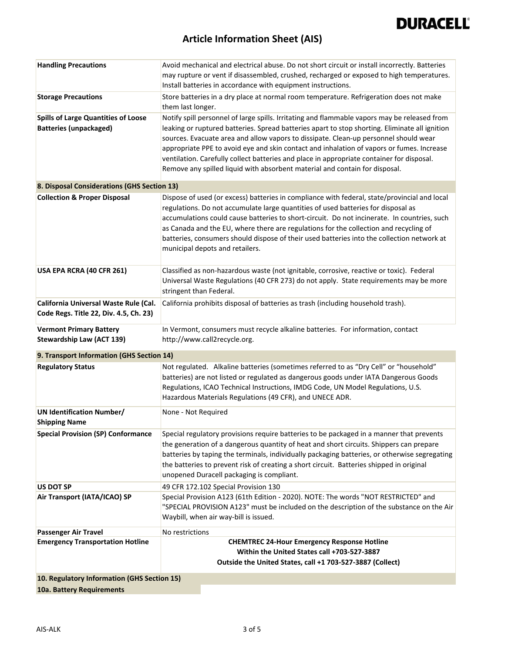

### **Article Information Sheet (AIS)**

| <b>Handling Precautions</b>                                                     | Avoid mechanical and electrical abuse. Do not short circuit or install incorrectly. Batteries                    |
|---------------------------------------------------------------------------------|------------------------------------------------------------------------------------------------------------------|
|                                                                                 | may rupture or vent if disassembled, crushed, recharged or exposed to high temperatures.                         |
|                                                                                 | Install batteries in accordance with equipment instructions.                                                     |
| <b>Storage Precautions</b>                                                      | Store batteries in a dry place at normal room temperature. Refrigeration does not make                           |
|                                                                                 | them last longer.                                                                                                |
| <b>Spills of Large Quantities of Loose</b>                                      | Notify spill personnel of large spills. Irritating and flammable vapors may be released from                     |
| <b>Batteries (unpackaged)</b>                                                   | leaking or ruptured batteries. Spread batteries apart to stop shorting. Eliminate all ignition                   |
|                                                                                 | sources. Evacuate area and allow vapors to dissipate. Clean-up personnel should wear                             |
|                                                                                 | appropriate PPE to avoid eye and skin contact and inhalation of vapors or fumes. Increase                        |
|                                                                                 | ventilation. Carefully collect batteries and place in appropriate container for disposal.                        |
|                                                                                 | Remove any spilled liquid with absorbent material and contain for disposal.                                      |
| 8. Disposal Considerations (GHS Section 13)                                     |                                                                                                                  |
| <b>Collection &amp; Proper Disposal</b>                                         | Dispose of used (or excess) batteries in compliance with federal, state/provincial and local                     |
|                                                                                 | regulations. Do not accumulate large quantities of used batteries for disposal as                                |
|                                                                                 | accumulations could cause batteries to short-circuit. Do not incinerate. In countries, such                      |
|                                                                                 | as Canada and the EU, where there are regulations for the collection and recycling of                            |
|                                                                                 | batteries, consumers should dispose of their used batteries into the collection network at                       |
|                                                                                 | municipal depots and retailers.                                                                                  |
|                                                                                 |                                                                                                                  |
| USA EPA RCRA (40 CFR 261)                                                       | Classified as non-hazardous waste (not ignitable, corrosive, reactive or toxic). Federal                         |
|                                                                                 | Universal Waste Regulations (40 CFR 273) do not apply. State requirements may be more<br>stringent than Federal. |
|                                                                                 |                                                                                                                  |
| California Universal Waste Rule (Cal.<br>Code Regs. Title 22, Div. 4.5, Ch. 23) | California prohibits disposal of batteries as trash (including household trash).                                 |
|                                                                                 |                                                                                                                  |
|                                                                                 |                                                                                                                  |
| <b>Vermont Primary Battery</b>                                                  | In Vermont, consumers must recycle alkaline batteries. For information, contact                                  |
| <b>Stewardship Law (ACT 139)</b>                                                | http://www.call2recycle.org.                                                                                     |
| 9. Transport Information (GHS Section 14)                                       |                                                                                                                  |
| <b>Regulatory Status</b>                                                        | Not regulated. Alkaline batteries (sometimes referred to as "Dry Cell" or "household"                            |
|                                                                                 | batteries) are not listed or regulated as dangerous goods under IATA Dangerous Goods                             |
|                                                                                 | Regulations, ICAO Technical Instructions, IMDG Code, UN Model Regulations, U.S.                                  |
|                                                                                 | Hazardous Materials Regulations (49 CFR), and UNECE ADR.                                                         |
| <b>UN Identification Number/</b>                                                | None - Not Required                                                                                              |
| <b>Shipping Name</b>                                                            |                                                                                                                  |
| <b>Special Provision (SP) Conformance</b>                                       | Special regulatory provisions require batteries to be packaged in a manner that prevents                         |
|                                                                                 | the generation of a dangerous quantity of heat and short circuits. Shippers can prepare                          |
|                                                                                 | batteries by taping the terminals, individually packaging batteries, or otherwise segregating                    |
|                                                                                 | the batteries to prevent risk of creating a short circuit. Batteries shipped in original                         |
|                                                                                 | unopened Duracell packaging is compliant.                                                                        |
| <b>US DOT SP</b>                                                                | 49 CFR 172.102 Special Provision 130                                                                             |
| Air Transport (IATA/ICAO) SP                                                    | Special Provision A123 (61th Edition - 2020). NOTE: The words "NOT RESTRICTED" and                               |
|                                                                                 | "SPECIAL PROVISION A123" must be included on the description of the substance on the Air                         |
|                                                                                 | Waybill, when air way-bill is issued.                                                                            |
| <b>Passenger Air Travel</b>                                                     | No restrictions                                                                                                  |
| <b>Emergency Transportation Hotline</b>                                         | <b>CHEMTREC 24-Hour Emergency Response Hotline</b>                                                               |
|                                                                                 | Within the United States call +703-527-3887                                                                      |
| 10. Regulatory Information (GHS Section 15)                                     | Outside the United States, call +1 703-527-3887 (Collect)                                                        |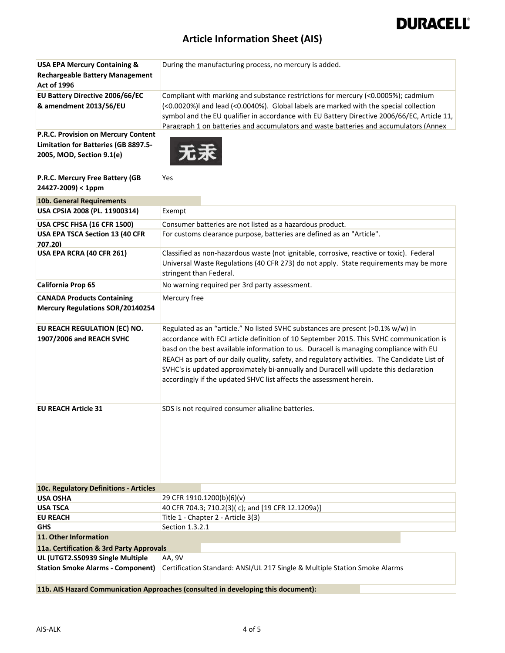### **Article Information Sheet (AIS)**

| <b>USA EPA Mercury Containing &amp;</b>                               | During the manufacturing process, no mercury is added.                                                                                                                                                                                                                                                                                                                                                                                                                                                                              |
|-----------------------------------------------------------------------|-------------------------------------------------------------------------------------------------------------------------------------------------------------------------------------------------------------------------------------------------------------------------------------------------------------------------------------------------------------------------------------------------------------------------------------------------------------------------------------------------------------------------------------|
| <b>Rechargeable Battery Management</b><br><b>Act of 1996</b>          |                                                                                                                                                                                                                                                                                                                                                                                                                                                                                                                                     |
| <b>EU Battery Directive 2006/66/EC</b>                                | Compliant with marking and substance restrictions for mercury (<0.0005%); cadmium                                                                                                                                                                                                                                                                                                                                                                                                                                                   |
| & amendment 2013/56/EU                                                | (<0.0020%)I and lead (<0.0040%). Global labels are marked with the special collection<br>symbol and the EU qualifier in accordance with EU Battery Directive 2006/66/EC, Article 11,<br>Paragraph 1 on batteries and accumulators and waste batteries and accumulators (Annex                                                                                                                                                                                                                                                       |
| P.R.C. Provision on Mercury Content                                   |                                                                                                                                                                                                                                                                                                                                                                                                                                                                                                                                     |
| <b>Limitation for Batteries (GB 8897.5-</b>                           |                                                                                                                                                                                                                                                                                                                                                                                                                                                                                                                                     |
| 2005, MOD, Section 9.1(e)                                             |                                                                                                                                                                                                                                                                                                                                                                                                                                                                                                                                     |
| P.R.C. Mercury Free Battery (GB<br>24427-2009) < 1ppm                 | Yes                                                                                                                                                                                                                                                                                                                                                                                                                                                                                                                                 |
| 10b. General Requirements                                             |                                                                                                                                                                                                                                                                                                                                                                                                                                                                                                                                     |
| USA CPSIA 2008 (PL. 11900314)                                         | Exempt                                                                                                                                                                                                                                                                                                                                                                                                                                                                                                                              |
| USA CPSC FHSA (16 CFR 1500)                                           | Consumer batteries are not listed as a hazardous product.                                                                                                                                                                                                                                                                                                                                                                                                                                                                           |
| USA EPA TSCA Section 13 (40 CFR                                       | For customs clearance purpose, batteries are defined as an "Article".                                                                                                                                                                                                                                                                                                                                                                                                                                                               |
| 707.20)                                                               |                                                                                                                                                                                                                                                                                                                                                                                                                                                                                                                                     |
| USA EPA RCRA (40 CFR 261)                                             | Classified as non-hazardous waste (not ignitable, corrosive, reactive or toxic). Federal                                                                                                                                                                                                                                                                                                                                                                                                                                            |
|                                                                       | Universal Waste Regulations (40 CFR 273) do not apply. State requirements may be more                                                                                                                                                                                                                                                                                                                                                                                                                                               |
|                                                                       | stringent than Federal.                                                                                                                                                                                                                                                                                                                                                                                                                                                                                                             |
| California Prop 65                                                    | No warning required per 3rd party assessment.                                                                                                                                                                                                                                                                                                                                                                                                                                                                                       |
| <b>CANADA Products Containing</b><br>Mercury Regulations SOR/20140254 | Mercury free                                                                                                                                                                                                                                                                                                                                                                                                                                                                                                                        |
| EU REACH REGULATION (EC) NO.<br>1907/2006 and REACH SVHC              | Regulated as an "article." No listed SVHC substances are present (>0.1% w/w) in<br>accordance with ECJ article definition of 10 September 2015. This SVHC communication is<br>basd on the best available information to us. Duracell is managing compliance with EU<br>REACH as part of our daily quality, safety, and regulatory activities. The Candidate List of<br>SVHC's is updated approximately bi-annually and Duracell will update this declaration<br>accordingly if the updated SHVC list affects the assessment herein. |
| <b>EU REACH Article 31</b>                                            | SDS is not required consumer alkaline batteries.                                                                                                                                                                                                                                                                                                                                                                                                                                                                                    |
| 10c. Regulatory Definitions - Articles                                |                                                                                                                                                                                                                                                                                                                                                                                                                                                                                                                                     |
| <b>USA OSHA</b>                                                       | 29 CFR 1910.1200(b)(6)(v)                                                                                                                                                                                                                                                                                                                                                                                                                                                                                                           |
| <b>USA TSCA</b>                                                       | 40 CFR 704.3; 710.2(3)(c); and [19 CFR 12.1209a)]                                                                                                                                                                                                                                                                                                                                                                                                                                                                                   |
| <b>EU REACH</b><br><b>GHS</b>                                         | Title 1 - Chapter 2 - Article 3(3)<br>Section 1.3.2.1                                                                                                                                                                                                                                                                                                                                                                                                                                                                               |
| 11. Other Information                                                 |                                                                                                                                                                                                                                                                                                                                                                                                                                                                                                                                     |
| 11a. Certification & 3rd Party Approvals                              |                                                                                                                                                                                                                                                                                                                                                                                                                                                                                                                                     |
| UL (UTGT2.S50939 Single Multiple                                      | AA, 9V                                                                                                                                                                                                                                                                                                                                                                                                                                                                                                                              |
| <b>Station Smoke Alarms - Component)</b>                              | Certification Standard: ANSI/UL 217 Single & Multiple Station Smoke Alarms                                                                                                                                                                                                                                                                                                                                                                                                                                                          |
|                                                                       | 11b. AIS Hazard Communication Approaches (consulted in developing this document):                                                                                                                                                                                                                                                                                                                                                                                                                                                   |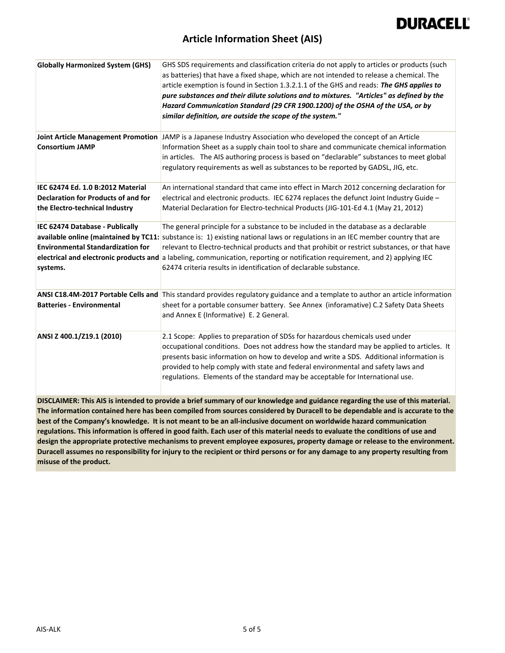

#### **Article Information Sheet (AIS)**

| <b>Globally Harmonized System (GHS)</b>                                                                                      | GHS SDS requirements and classification criteria do not apply to articles or products (such<br>as batteries) that have a fixed shape, which are not intended to release a chemical. The<br>article exemption is found in Section 1.3.2.1.1 of the GHS and reads: The GHS applies to<br>pure substances and their dilute solutions and to mixtures. "Articles" as defined by the<br>Hazard Communication Standard (29 CFR 1900.1200) of the OSHA of the USA, or by<br>similar definition, are outside the scope of the system." |  |
|------------------------------------------------------------------------------------------------------------------------------|--------------------------------------------------------------------------------------------------------------------------------------------------------------------------------------------------------------------------------------------------------------------------------------------------------------------------------------------------------------------------------------------------------------------------------------------------------------------------------------------------------------------------------|--|
| <b>Consortium JAMP</b>                                                                                                       | Joint Article Management Promotion JAMP is a Japanese Industry Association who developed the concept of an Article<br>Information Sheet as a supply chain tool to share and communicate chemical information                                                                                                                                                                                                                                                                                                                   |  |
|                                                                                                                              | in articles. The AIS authoring process is based on "declarable" substances to meet global<br>regulatory requirements as well as substances to be reported by GADSL, JIG, etc.                                                                                                                                                                                                                                                                                                                                                  |  |
| IEC 62474 Ed. 1.0 B:2012 Material<br><b>Declaration for Products of and for</b><br>the Electro-technical Industry            | An international standard that came into effect in March 2012 concerning declaration for<br>electrical and electronic products. IEC 6274 replaces the defunct Joint Industry Guide -<br>Material Declaration for Electro-technical Products (JIG-101-Ed 4.1 (May 21, 2012)                                                                                                                                                                                                                                                     |  |
| IEC 62474 Database - Publically                                                                                              | The general principle for a substance to be included in the database as a declarable                                                                                                                                                                                                                                                                                                                                                                                                                                           |  |
|                                                                                                                              | available online (maintained by TC11: substance is: 1) existing national laws or regulations in an IEC member country that are                                                                                                                                                                                                                                                                                                                                                                                                 |  |
| <b>Environmental Standardization for</b>                                                                                     | relevant to Electro-technical products and that prohibit or restrict substances, or that have<br>electrical and electronic products and a labeling, communication, reporting or notification requirement, and 2) applying IEC                                                                                                                                                                                                                                                                                                  |  |
| systems.                                                                                                                     | 62474 criteria results in identification of declarable substance.                                                                                                                                                                                                                                                                                                                                                                                                                                                              |  |
|                                                                                                                              | ANSI C18.4M-2017 Portable Cells and This standard provides regulatory guidance and a template to author an article information                                                                                                                                                                                                                                                                                                                                                                                                 |  |
| <b>Batteries - Environmental</b>                                                                                             | sheet for a portable consumer battery. See Annex (inforamative) C.2 Safety Data Sheets<br>and Annex E (Informative) E. 2 General.                                                                                                                                                                                                                                                                                                                                                                                              |  |
| ANSI Z 400.1/Z19.1 (2010)                                                                                                    | 2.1 Scope: Applies to preparation of SDSs for hazardous chemicals used under<br>occupational conditions. Does not address how the standard may be applied to articles. It<br>presents basic information on how to develop and write a SDS. Additional information is<br>provided to help comply with state and federal environmental and safety laws and<br>regulations. Elements of the standard may be acceptable for International use.                                                                                     |  |
|                                                                                                                              | DISCLAIMER: This AIS is intended to provide a brief summary of our knowledge and guidance regarding the use of this material.                                                                                                                                                                                                                                                                                                                                                                                                  |  |
| The information contained here has been compiled from sources considered by Duracell to be dependable and is accurate to the |                                                                                                                                                                                                                                                                                                                                                                                                                                                                                                                                |  |
|                                                                                                                              | best of the Company's knowledge. It is not meant to be an all-inclusive document on worldwide hazard communication<br>regulations. This information is offered in good faith. Each user of this material needs to evaluate the conditions of use and                                                                                                                                                                                                                                                                           |  |

**design the appropriate protective mechanisms to prevent employee exposures, property damage or release to the environment. Duracell assumes no responsibility for injury to the recipient or third persons or for any damage to any property resulting from misuse of the product.**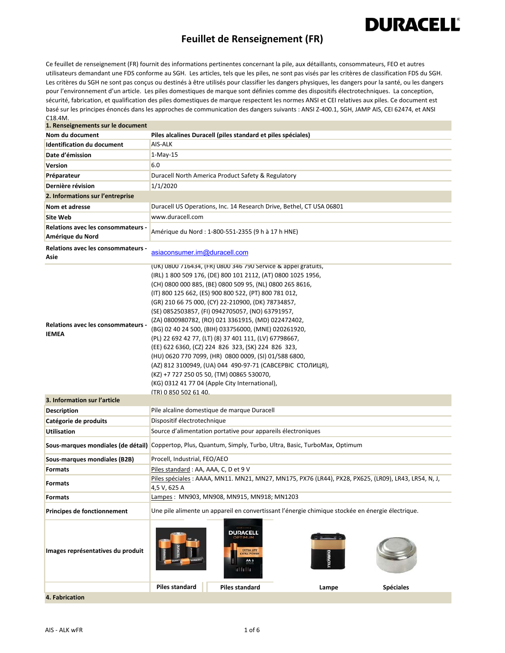### **Feuillet de Renseignement (FR)**

**DURACELL®** 

Ce feuillet de renseignement (FR) fournit des informations pertinentes concernant la pile, aux détaillants, consommateurs, FEO et autres utilisateurs demandant une FDS conforme au SGH. Les articles, tels que les piles, ne sont pas visés par les critères de classification FDS du SGH. Les critères du SGH ne sont pas conçus ou destinés à être utilisés pour classifier les dangers physiques, les dangers pour la santé, ou les dangers pour l'environnement d'un article. Les piles domestiques de marque sont définies comme des dispositifs électrotechniques. La conception, sécurité, fabrication, et qualification des piles domestiques de marque respectent les normes ANSI et CEI relatives aux piles. Ce document est basé sur les principes énoncés dans les approches de communication des dangers suivants : ANSI Z‐400.1, SGH, JAMP AIS, CEI 62474, et ANSI C18.4M.

| 1. Renseignements sur le document                         |                                                                                                                                                                                                                                                                                                                                                                                                                                                                                                                                                                                                                                                                                                                                                                                                                                          |
|-----------------------------------------------------------|------------------------------------------------------------------------------------------------------------------------------------------------------------------------------------------------------------------------------------------------------------------------------------------------------------------------------------------------------------------------------------------------------------------------------------------------------------------------------------------------------------------------------------------------------------------------------------------------------------------------------------------------------------------------------------------------------------------------------------------------------------------------------------------------------------------------------------------|
| Nom du document                                           | Piles alcalines Duracell (piles standard et piles spéciales)                                                                                                                                                                                                                                                                                                                                                                                                                                                                                                                                                                                                                                                                                                                                                                             |
| <b>Identification du document</b>                         | AIS-ALK                                                                                                                                                                                                                                                                                                                                                                                                                                                                                                                                                                                                                                                                                                                                                                                                                                  |
| Date d'émission                                           | 1-May-15                                                                                                                                                                                                                                                                                                                                                                                                                                                                                                                                                                                                                                                                                                                                                                                                                                 |
| Version                                                   | 6.0                                                                                                                                                                                                                                                                                                                                                                                                                                                                                                                                                                                                                                                                                                                                                                                                                                      |
| Préparateur                                               | Duracell North America Product Safety & Regulatory                                                                                                                                                                                                                                                                                                                                                                                                                                                                                                                                                                                                                                                                                                                                                                                       |
| Dernière révision                                         | 1/1/2020                                                                                                                                                                                                                                                                                                                                                                                                                                                                                                                                                                                                                                                                                                                                                                                                                                 |
| 2. Informations sur l'entreprise                          |                                                                                                                                                                                                                                                                                                                                                                                                                                                                                                                                                                                                                                                                                                                                                                                                                                          |
| Nom et adresse                                            | Duracell US Operations, Inc. 14 Research Drive, Bethel, CT USA 06801                                                                                                                                                                                                                                                                                                                                                                                                                                                                                                                                                                                                                                                                                                                                                                     |
| <b>Site Web</b>                                           | www.duracell.com                                                                                                                                                                                                                                                                                                                                                                                                                                                                                                                                                                                                                                                                                                                                                                                                                         |
| Relations avec les consommateurs -<br>Amérique du Nord    | Amérique du Nord : 1-800-551-2355 (9 h à 17 h HNE)                                                                                                                                                                                                                                                                                                                                                                                                                                                                                                                                                                                                                                                                                                                                                                                       |
| Relations avec les consommateurs -<br>Asie                | asiaconsumer.im@duracell.com                                                                                                                                                                                                                                                                                                                                                                                                                                                                                                                                                                                                                                                                                                                                                                                                             |
| <b>Relations avec les consommateurs -</b><br><b>IEMEA</b> | (UK) 0800 /16434, (FR) 0800 346 /90 Service & appel gratuits,<br>(IRL) 1 800 509 176, (DE) 800 101 2112, (AT) 0800 1025 1956,<br>(CH) 0800 000 885, (BE) 0800 509 95, (NL) 0800 265 8616,<br>(IT) 800 125 662, (ES) 900 800 522, (PT) 800 781 012,<br>(GR) 210 66 75 000, (CY) 22-210900, (DK) 78734857,<br>(SE) 0852503857, (FI) 0942705057, (NO) 63791957,<br>(ZA) 0800980782, (RO) 021 3361915, (MD) 022472402,<br>(BG) 02 40 24 500, (BIH) 033756000, (MNE) 020261920,<br>(PL) 22 692 42 77, (LT) (8) 37 401 111, (LV) 67798667,<br>(EE) 622 6360, (CZ) 224 826 323, (SK) 224 826 323,<br>(HU) 0620 770 7099, (HR) 0800 0009, (SI) 01/588 6800,<br>(AZ) 812 3100949, (UA) 044 490-97-71 (САВСЕРВІС СТОЛИЦЯ),<br>(KZ) +7 727 250 05 50, (TM) 00865 530070,<br>(KG) 0312 41 77 04 (Apple City International),<br>(TR) 0 850 502 61 40. |
| 3. Information sur l'article                              |                                                                                                                                                                                                                                                                                                                                                                                                                                                                                                                                                                                                                                                                                                                                                                                                                                          |
| <b>Description</b>                                        | Pile alcaline domestique de marque Duracell                                                                                                                                                                                                                                                                                                                                                                                                                                                                                                                                                                                                                                                                                                                                                                                              |
| Catégorie de produits                                     | Dispositif électrotechnique                                                                                                                                                                                                                                                                                                                                                                                                                                                                                                                                                                                                                                                                                                                                                                                                              |
| <b>Utilisation</b>                                        | Source d'alimentation portative pour appareils électroniques                                                                                                                                                                                                                                                                                                                                                                                                                                                                                                                                                                                                                                                                                                                                                                             |
| Sous-marques mondiales (de détail)                        | Coppertop, Plus, Quantum, Simply, Turbo, Ultra, Basic, TurboMax, Optimum                                                                                                                                                                                                                                                                                                                                                                                                                                                                                                                                                                                                                                                                                                                                                                 |
| Sous-marques mondiales (B2B)                              | Procell, Industrial, FEO/AEO                                                                                                                                                                                                                                                                                                                                                                                                                                                                                                                                                                                                                                                                                                                                                                                                             |
| <b>Formats</b>                                            | Piles standard: AA, AAA, C, D et 9 V                                                                                                                                                                                                                                                                                                                                                                                                                                                                                                                                                                                                                                                                                                                                                                                                     |
| <b>Formats</b>                                            | Piles spéciales : AAAA, MN11. MN21, MN27, MN175, PX76 (LR44), PX28, PX625, (LR09), LR43, LR54, N, J,<br>4,5 V, 625 A                                                                                                                                                                                                                                                                                                                                                                                                                                                                                                                                                                                                                                                                                                                     |
| <b>Formats</b>                                            | Lampes: MN903, MN908, MN915, MN918; MN1203                                                                                                                                                                                                                                                                                                                                                                                                                                                                                                                                                                                                                                                                                                                                                                                               |
| Principes de fonctionnement                               | Une pile alimente un appareil en convertissant l'énergie chimique stockée en énergie électrique.                                                                                                                                                                                                                                                                                                                                                                                                                                                                                                                                                                                                                                                                                                                                         |
| Images représentatives du produit                         | **********<br>DURACELL<br><b>EXTRA LIFE</b><br><b>EXTRA POWE</b><br>AA 6<br>silsils                                                                                                                                                                                                                                                                                                                                                                                                                                                                                                                                                                                                                                                                                                                                                      |
|                                                           | <b>Piles standard</b><br><b>Piles standard</b><br><b>Spéciales</b><br>Lampe                                                                                                                                                                                                                                                                                                                                                                                                                                                                                                                                                                                                                                                                                                                                                              |
| 4. Fabrication                                            |                                                                                                                                                                                                                                                                                                                                                                                                                                                                                                                                                                                                                                                                                                                                                                                                                                          |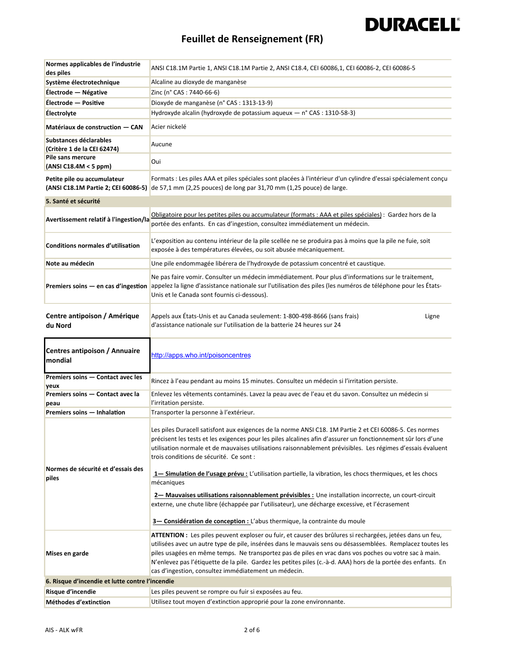### **Feuillet de Renseignement (FR)**

| Normes applicables de l'industrie                     | ANSI C18.1M Partie 1, ANSI C18.1M Partie 2, ANSI C18.4, CEI 60086,1, CEI 60086-2, CEI 60086-5                                                                                                                                                                                                                                                                                                                                                                                                                  |
|-------------------------------------------------------|----------------------------------------------------------------------------------------------------------------------------------------------------------------------------------------------------------------------------------------------------------------------------------------------------------------------------------------------------------------------------------------------------------------------------------------------------------------------------------------------------------------|
| des piles<br>Système électrotechnique                 | Alcaline au dioxyde de manganèse                                                                                                                                                                                                                                                                                                                                                                                                                                                                               |
| Électrode - Négative                                  | Zinc (n° CAS: 7440-66-6)                                                                                                                                                                                                                                                                                                                                                                                                                                                                                       |
| Électrode - Positive                                  | Dioxyde de manganèse (n° CAS : 1313-13-9)                                                                                                                                                                                                                                                                                                                                                                                                                                                                      |
| <b>Électrolyte</b>                                    | Hydroxyde alcalin (hydroxyde de potassium aqueux - n° CAS : 1310-58-3)                                                                                                                                                                                                                                                                                                                                                                                                                                         |
| Matériaux de construction - CAN                       | Acier nickelé                                                                                                                                                                                                                                                                                                                                                                                                                                                                                                  |
|                                                       |                                                                                                                                                                                                                                                                                                                                                                                                                                                                                                                |
| Substances déclarables<br>(Critère 1 de la CEI 62474) | Aucune                                                                                                                                                                                                                                                                                                                                                                                                                                                                                                         |
| Pile sans mercure                                     |                                                                                                                                                                                                                                                                                                                                                                                                                                                                                                                |
| (ANSI C18.4M < 5 ppm)                                 | Oui                                                                                                                                                                                                                                                                                                                                                                                                                                                                                                            |
| Petite pile ou accumulateur                           | Formats : Les piles AAA et piles spéciales sont placées à l'intérieur d'un cylindre d'essai spécialement conçu<br>(ANSI C18.1M Partie 2; CEI 60086-5) de 57,1 mm (2,25 pouces) de long par 31,70 mm (1,25 pouce) de large.                                                                                                                                                                                                                                                                                     |
| 5. Santé et sécurité                                  |                                                                                                                                                                                                                                                                                                                                                                                                                                                                                                                |
| Avertissement relatif à l'ingestion/la                | Obligatoire pour les petites piles ou accumulateur (formats : AAA et piles spéciales) : Gardez hors de la<br>portée des enfants. En cas d'ingestion, consultez immédiatement un médecin.                                                                                                                                                                                                                                                                                                                       |
| <b>Conditions normales d'utilisation</b>              | L'exposition au contenu intérieur de la pile scellée ne se produira pas à moins que la pile ne fuie, soit<br>exposée à des températures élevées, ou soit abusée mécaniquement.                                                                                                                                                                                                                                                                                                                                 |
| Note au médecin                                       | Une pile endommagée libérera de l'hydroxyde de potassium concentré et caustique.                                                                                                                                                                                                                                                                                                                                                                                                                               |
| Premiers soins - en cas d'ingestion                   | Ne pas faire vomir. Consulter un médecin immédiatement. Pour plus d'informations sur le traitement,<br>appelez la ligne d'assistance nationale sur l'utilisation des piles (les numéros de téléphone pour les États-<br>Unis et le Canada sont fournis ci-dessous).                                                                                                                                                                                                                                            |
| Centre antipoison / Amérique<br>du Nord               | Appels aux États-Unis et au Canada seulement: 1-800-498-8666 (sans frais)<br>Ligne<br>d'assistance nationale sur l'utilisation de la batterie 24 heures sur 24                                                                                                                                                                                                                                                                                                                                                 |
|                                                       |                                                                                                                                                                                                                                                                                                                                                                                                                                                                                                                |
| <b>Centres antipoison / Annuaire</b><br>mondial       | http://apps.who.int/poisoncentres                                                                                                                                                                                                                                                                                                                                                                                                                                                                              |
| Premiers soins - Contact avec les                     | Rincez à l'eau pendant au moins 15 minutes. Consultez un médecin si l'irritation persiste.                                                                                                                                                                                                                                                                                                                                                                                                                     |
| yeux<br>Premiers soins - Contact avec la<br>peau      | Enlevez les vêtements contaminés. Lavez la peau avec de l'eau et du savon. Consultez un médecin si<br>l'irritation persiste.                                                                                                                                                                                                                                                                                                                                                                                   |
| Premiers soins - Inhalation                           | Transporter la personne à l'extérieur.                                                                                                                                                                                                                                                                                                                                                                                                                                                                         |
| Normes de sécurité et d'essais des<br>piles           | Les piles Duracell satisfont aux exigences de la norme ANSI C18. 1M Partie 2 et CEI 60086-5. Ces normes<br>précisent les tests et les exigences pour les piles alcalines afin d'assurer un fonctionnement sûr lors d'une<br>utilisation normale et de mauvaises utilisations raisonnablement prévisibles. Les régimes d'essais évaluent<br>trois conditions de sécurité. Ce sont :<br>1- Simulation de l'usage prévu : L'utilisation partielle, la vibration, les chocs thermiques, et les chocs<br>mécaniques |
|                                                       | 2- Mauvaises utilisations raisonnablement prévisibles : Une installation incorrecte, un court-circuit<br>externe, une chute libre (échappée par l'utilisateur), une décharge excessive, et l'écrasement<br>3- Considération de conception : L'abus thermique, la contrainte du moule                                                                                                                                                                                                                           |
| Mises en garde                                        | ATTENTION : Les piles peuvent exploser ou fuir, et causer des brûlures si rechargées, jetées dans un feu,<br>utilisées avec un autre type de pile, insérées dans le mauvais sens ou désassemblées. Remplacez toutes les<br>piles usagées en même temps. Ne transportez pas de piles en vrac dans vos poches ou votre sac à main.<br>N'enlevez pas l'étiquette de la pile. Gardez les petites piles (c.-à-d. AAA) hors de la portée des enfants. En<br>cas d'ingestion, consultez immédiatement un médecin.     |
| 6. Risque d'incendie et lutte contre l'incendie       |                                                                                                                                                                                                                                                                                                                                                                                                                                                                                                                |
| Risque d'incendie                                     | Les piles peuvent se rompre ou fuir si exposées au feu.                                                                                                                                                                                                                                                                                                                                                                                                                                                        |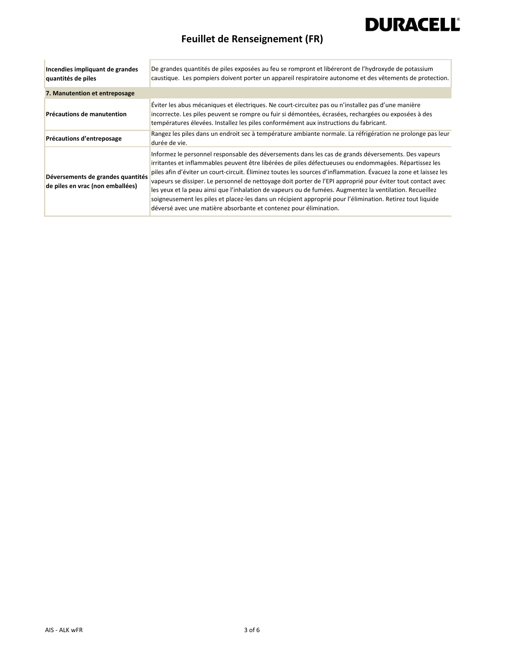## **Feuillet de Renseignement (FR)**

| Incendies impliquant de grandes<br>quantités de piles                 | De grandes quantités de piles exposées au feu se rompront et libéreront de l'hydroxyde de potassium<br>caustique. Les pompiers doivent porter un appareil respiratoire autonome et des vêtements de protection.                                                                                                                                                                                                                                                                                                                                                                                                                                                                                                                                 |
|-----------------------------------------------------------------------|-------------------------------------------------------------------------------------------------------------------------------------------------------------------------------------------------------------------------------------------------------------------------------------------------------------------------------------------------------------------------------------------------------------------------------------------------------------------------------------------------------------------------------------------------------------------------------------------------------------------------------------------------------------------------------------------------------------------------------------------------|
| 7. Manutention et entreposage                                         |                                                                                                                                                                                                                                                                                                                                                                                                                                                                                                                                                                                                                                                                                                                                                 |
| Précautions de manutention                                            | Eviter les abus mécaniques et électriques. Ne court-circuitez pas ou n'installez pas d'une manière<br>incorrecte. Les piles peuvent se rompre ou fuir si démontées, écrasées, rechargées ou exposées à des<br>températures élevées. Installez les piles conformément aux instructions du fabricant.                                                                                                                                                                                                                                                                                                                                                                                                                                             |
| Précautions d'entreposage                                             | Rangez les piles dans un endroit sec à température ambiante normale. La réfrigération ne prolonge pas leur<br>durée de vie.                                                                                                                                                                                                                                                                                                                                                                                                                                                                                                                                                                                                                     |
| Déversements de grandes quantités<br>de piles en vrac (non emballées) | Informez le personnel responsable des déversements dans les cas de grands déversements. Des vapeurs<br>irritantes et inflammables peuvent être libérées de piles défectueuses ou endommagées. Répartissez les<br>piles afin d'éviter un court-circuit. Éliminez toutes les sources d'inflammation. Évacuez la zone et laissez les<br>vapeurs se dissiper. Le personnel de nettoyage doit porter de l'EPI approprié pour éviter tout contact avec<br>les yeux et la peau ainsi que l'inhalation de vapeurs ou de fumées. Augmentez la ventilation. Recueillez<br>soigneusement les piles et placez-les dans un récipient approprié pour l'élimination. Retirez tout liquide<br>déversé avec une matière absorbante et contenez pour élimination. |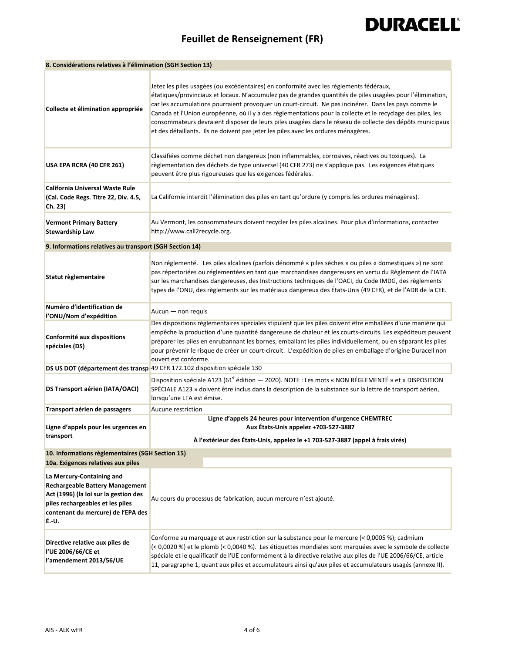## **Feuillet de Renseignement (FR)**

| 8. Considérations relatives à l'élimination (SGH Section 13)                                                                                                                                    |                                                                                                                                                                                                                                                                                                                                                                                                                                                                                                                                                                                                                                |  |
|-------------------------------------------------------------------------------------------------------------------------------------------------------------------------------------------------|--------------------------------------------------------------------------------------------------------------------------------------------------------------------------------------------------------------------------------------------------------------------------------------------------------------------------------------------------------------------------------------------------------------------------------------------------------------------------------------------------------------------------------------------------------------------------------------------------------------------------------|--|
| Collecte et élimination appropriée                                                                                                                                                              | Jetez les piles usagées (ou excédentaires) en conformité avec les règlements fédéraux,<br>étatiques/provinciaux et locaux. N'accumulez pas de grandes quantités de piles usagées pour l'élimination,<br>car les accumulations pourraient provoquer un court-circuit. Ne pas incinérer. Dans les pays comme le<br>Canada et l'Union européenne, où il y a des règlementations pour la collecte et le recyclage des piles, les<br>consommateurs devraient disposer de leurs piles usagées dans le réseau de collecte des dépôts municipaux<br>et des détaillants. Ils ne doivent pas jeter les piles avec les ordures ménagères. |  |
| USA EPA RCRA (40 CFR 261)                                                                                                                                                                       | Classifiées comme déchet non dangereux (non inflammables, corrosives, réactives ou toxiques). La<br>règlementation des déchets de type universel (40 CFR 273) ne s'applique pas. Les exigences étatiques<br>peuvent être plus rigoureuses que les exigences fédérales.                                                                                                                                                                                                                                                                                                                                                         |  |
| California Universal Waste Rule<br>(Cal. Code Regs. Titre 22, Div. 4.5,<br>Ch. 23)                                                                                                              | La Californie interdit l'élimination des piles en tant qu'ordure (y compris les ordures ménagères).                                                                                                                                                                                                                                                                                                                                                                                                                                                                                                                            |  |
| <b>Vermont Primary Battery</b><br><b>Stewardship Law</b>                                                                                                                                        | Au Vermont, les consommateurs doivent recycler les piles alcalines. Pour plus d'informations, contactez<br>http://www.call2recycle.org.                                                                                                                                                                                                                                                                                                                                                                                                                                                                                        |  |
| 9. Informations relatives au transport (SGH Section 14)                                                                                                                                         |                                                                                                                                                                                                                                                                                                                                                                                                                                                                                                                                                                                                                                |  |
| Statut règlementaire                                                                                                                                                                            | Non réglementé. Les piles alcalines (parfois dénommé « piles sèches » ou piles « domestiques ») ne sont<br>pas répertoriées ou réglementées en tant que marchandises dangereuses en vertu du Règlement de l'IATA<br>sur les marchandises dangereuses, des Instructions techniques de l'OACI, du Code IMDG, des règlements<br>types de l'ONU, des règlements sur les matériaux dangereux des États-Unis (49 CFR), et de l'ADR de la CEE.                                                                                                                                                                                        |  |
| Numéro d'identification de<br>l'ONU/Nom d'expédition                                                                                                                                            | Aucun - non requis                                                                                                                                                                                                                                                                                                                                                                                                                                                                                                                                                                                                             |  |
| Conformité aux dispositions<br>spéciales (DS)                                                                                                                                                   | Des dispositions règlementaires spéciales stipulent que les piles doivent être emballées d'une manière qui<br>empêche la production d'une quantité dangereuse de chaleur et les courts-circuits. Les expéditeurs peuvent<br>préparer les piles en enrubannant les bornes, emballant les piles individuellement, ou en séparant les piles<br>pour prévenir le risque de créer un court-circuit. L'expédition de piles en emballage d'origine Duracell non<br>ouvert est conforme.                                                                                                                                               |  |
|                                                                                                                                                                                                 | DS US DOT (département des transp 49 CFR 172.102 disposition spéciale 130                                                                                                                                                                                                                                                                                                                                                                                                                                                                                                                                                      |  |
| <b>DS Transport aérien (IATA/OACI)</b>                                                                                                                                                          | Disposition spéciale A123 (61 <sup>e</sup> édition - 2020). NOTE : Les mots « NON RÉGLEMENTÉ » et « DISPOSITION<br>SPÉCIALE A123 » doivent être inclus dans la description de la substance sur la lettre de transport aérien,<br>lorsqu'une LTA est émise.                                                                                                                                                                                                                                                                                                                                                                     |  |
| Transport aérien de passagers                                                                                                                                                                   | Aucune restriction                                                                                                                                                                                                                                                                                                                                                                                                                                                                                                                                                                                                             |  |
| Ligne d'appels pour les urgences en<br>transport                                                                                                                                                | Ligne d'appels 24 heures pour intervention d'urgence CHEMTREC<br>Aux Etats-Unis appelez +703-527-3887                                                                                                                                                                                                                                                                                                                                                                                                                                                                                                                          |  |
| À l'extérieur des États-Unis, appelez le +1 703-527-3887 (appel à frais virés)<br>10. Informations règlementaires (SGH Section 15)                                                              |                                                                                                                                                                                                                                                                                                                                                                                                                                                                                                                                                                                                                                |  |
| 10a. Exigences relatives aux piles                                                                                                                                                              |                                                                                                                                                                                                                                                                                                                                                                                                                                                                                                                                                                                                                                |  |
| La Mercury-Containing and<br><b>Rechargeable Battery Management</b><br>Act (1996) (la loi sur la gestion des<br>piles rechargeables et les piles<br>contenant du mercure) de l'EPA des<br>É.-U. | Au cours du processus de fabrication, aucun mercure n'est ajouté.                                                                                                                                                                                                                                                                                                                                                                                                                                                                                                                                                              |  |
| Directive relative aux piles de<br>l'UE 2006/66/CE et<br>l'amendement 2013/56/UE                                                                                                                | Conforme au marquage et aux restriction sur la substance pour le mercure (< 0,0005 %); cadmium<br>(< 0,0020 %) et le plomb (< 0,0040 %). Les étiquettes mondiales sont marquées avec le symbole de collecte<br>spéciale et le qualificatif de l'UE conformément à la directive relative aux piles de l'UE 2006/66/CE, article<br>11, paragraphe 1, quant aux piles et accumulateurs ainsi qu'aux piles et accumulateurs usagés (annexe II).                                                                                                                                                                                    |  |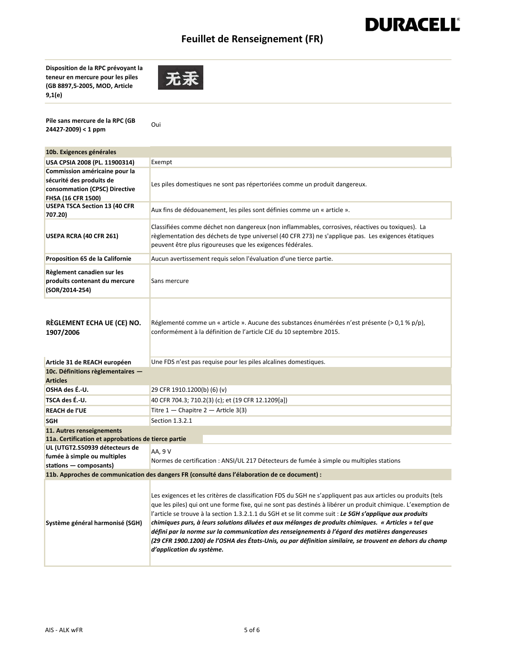### **Feuillet de Renseignement (FR)**

**DURACELL®** 

**Disposition de la RPC prévoyant la teneur en mercure pour les piles (GB 8897,5‐2005, MOD, Article 9,1(e)** 



**Pile sans mercure de la RPC (GB 24427‐2009) < 1 ppm**

Oui

| Exempt                                                                                                                                                                                                                                                                                                                                                                                                                                                                                                                                                                                                                                                                                        |  |
|-----------------------------------------------------------------------------------------------------------------------------------------------------------------------------------------------------------------------------------------------------------------------------------------------------------------------------------------------------------------------------------------------------------------------------------------------------------------------------------------------------------------------------------------------------------------------------------------------------------------------------------------------------------------------------------------------|--|
|                                                                                                                                                                                                                                                                                                                                                                                                                                                                                                                                                                                                                                                                                               |  |
| Les piles domestiques ne sont pas répertoriées comme un produit dangereux.                                                                                                                                                                                                                                                                                                                                                                                                                                                                                                                                                                                                                    |  |
|                                                                                                                                                                                                                                                                                                                                                                                                                                                                                                                                                                                                                                                                                               |  |
|                                                                                                                                                                                                                                                                                                                                                                                                                                                                                                                                                                                                                                                                                               |  |
| Aux fins de dédouanement, les piles sont définies comme un « article ».                                                                                                                                                                                                                                                                                                                                                                                                                                                                                                                                                                                                                       |  |
| Classifiées comme déchet non dangereux (non inflammables, corrosives, réactives ou toxiques). La<br>règlementation des déchets de type universel (40 CFR 273) ne s'applique pas. Les exigences étatiques<br>peuvent être plus rigoureuses que les exigences fédérales.                                                                                                                                                                                                                                                                                                                                                                                                                        |  |
| Aucun avertissement requis selon l'évaluation d'une tierce partie.                                                                                                                                                                                                                                                                                                                                                                                                                                                                                                                                                                                                                            |  |
| Sans mercure                                                                                                                                                                                                                                                                                                                                                                                                                                                                                                                                                                                                                                                                                  |  |
| Réglementé comme un « article ». Aucune des substances énumérées n'est présente (> 0,1 % p/p),<br>conformément à la définition de l'article CJE du 10 septembre 2015.                                                                                                                                                                                                                                                                                                                                                                                                                                                                                                                         |  |
| Une FDS n'est pas requise pour les piles alcalines domestiques.                                                                                                                                                                                                                                                                                                                                                                                                                                                                                                                                                                                                                               |  |
|                                                                                                                                                                                                                                                                                                                                                                                                                                                                                                                                                                                                                                                                                               |  |
|                                                                                                                                                                                                                                                                                                                                                                                                                                                                                                                                                                                                                                                                                               |  |
| 29 CFR 1910.1200(b) (6) (v)                                                                                                                                                                                                                                                                                                                                                                                                                                                                                                                                                                                                                                                                   |  |
| 40 CFR 704.3; 710.2(3) (c); et (19 CFR 12.1209[a])                                                                                                                                                                                                                                                                                                                                                                                                                                                                                                                                                                                                                                            |  |
| Titre $1$ - Chapitre 2 - Article 3(3)                                                                                                                                                                                                                                                                                                                                                                                                                                                                                                                                                                                                                                                         |  |
| Section 1.3.2.1                                                                                                                                                                                                                                                                                                                                                                                                                                                                                                                                                                                                                                                                               |  |
|                                                                                                                                                                                                                                                                                                                                                                                                                                                                                                                                                                                                                                                                                               |  |
| 11a. Certification et approbations de tierce partie                                                                                                                                                                                                                                                                                                                                                                                                                                                                                                                                                                                                                                           |  |
| AA, 9 V                                                                                                                                                                                                                                                                                                                                                                                                                                                                                                                                                                                                                                                                                       |  |
| Normes de certification : ANSI/UL 217 Détecteurs de fumée à simple ou multiples stations                                                                                                                                                                                                                                                                                                                                                                                                                                                                                                                                                                                                      |  |
|                                                                                                                                                                                                                                                                                                                                                                                                                                                                                                                                                                                                                                                                                               |  |
| 11b. Approches de communication des dangers FR (consulté dans l'élaboration de ce document) :                                                                                                                                                                                                                                                                                                                                                                                                                                                                                                                                                                                                 |  |
| Les exigences et les critères de classification FDS du SGH ne s'appliquent pas aux articles ou produits (tels<br>que les piles) qui ont une forme fixe, qui ne sont pas destinés à libérer un produit chimique. L'exemption de<br>l'article se trouve à la section 1.3.2.1.1 du SGH et se lit comme suit : Le SGH s'applique aux produits<br>chimiques purs, à leurs solutions diluées et aux mélanges de produits chimiques. « Articles » tel que<br>défini par la norme sur la communication des renseignements à l'égard des matières dangereuses<br>(29 CFR 1900.1200) de l'OSHA des États-Unis, ou par définition similaire, se trouvent en dehors du champ<br>d'application du système. |  |
|                                                                                                                                                                                                                                                                                                                                                                                                                                                                                                                                                                                                                                                                                               |  |